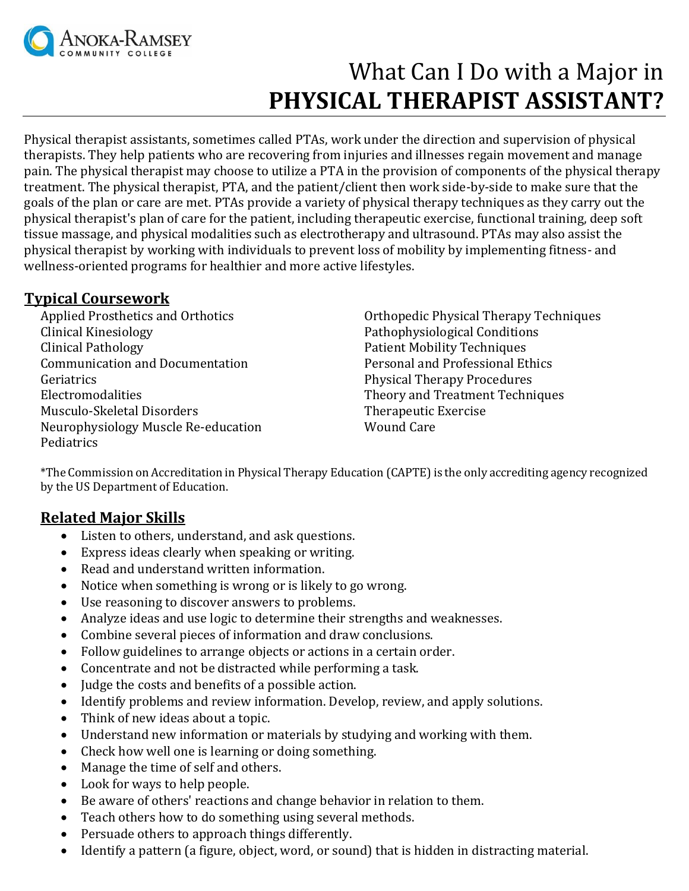

# What Can I Do with a Major in **PHYSICAL THERAPIST ASSISTANT?**

Physical therapist assistants, sometimes called PTAs, work under the direction and supervision of physical therapists. They help patients who are recovering from injuries and illnesses regain movement and manage pain. The physical therapist may choose to utilize a PTA in the provision of components of the physical therapy treatment. The physical therapist, PTA, and the patient/client then work side-by-side to make sure that the goals of the plan or care are met. PTAs provide a variety of physical therapy techniques as they carry out the physical therapist's plan of care for the patient, including therapeutic exercise, functional training, deep soft tissue massage, and physical modalities such as electrotherapy and ultrasound. PTAs may also assist the physical therapist by working with individuals to prevent loss of mobility by implementing fitness- and wellness-oriented programs for healthier and more active lifestyles.

## **Typical Coursework**

Applied Prosthetics and Orthotics Clinical Kinesiology Clinical Pathology Communication and Documentation **Geriatrics** Electromodalities Musculo-Skeletal Disorders Neurophysiology Muscle Re-education **Pediatrics** 

Orthopedic Physical Therapy Techniques Pathophysiological Conditions Patient Mobility Techniques Personal and Professional Ethics Physical Therapy Procedures Theory and Treatment Techniques Therapeutic Exercise Wound Care

\*The Commission on Accreditation in Physical Therapy Education (CAPTE) is the only accrediting agency recognized by the US Department of Education.

## **Related Major Skills**

- Listen to others, understand, and ask questions.
- Express ideas clearly when speaking or writing.
- Read and understand written information.
- Notice when something is wrong or is likely to go wrong.
- Use reasoning to discover answers to problems.
- Analyze ideas and use logic to determine their strengths and weaknesses.
- Combine several pieces of information and draw conclusions.
- Follow guidelines to arrange objects or actions in a certain order.
- Concentrate and not be distracted while performing a task.
- Judge the costs and benefits of a possible action.
- Identify problems and review information. Develop, review, and apply solutions.
- Think of new ideas about a topic.
- Understand new information or materials by studying and working with them.
- Check how well one is learning or doing something.
- Manage the time of self and others.
- Look for ways to help people.
- Be aware of others' reactions and change behavior in relation to them.
- Teach others how to do something using several methods.
- Persuade others to approach things differently.
- Identify a pattern (a figure, object, word, or sound) that is hidden in distracting material.